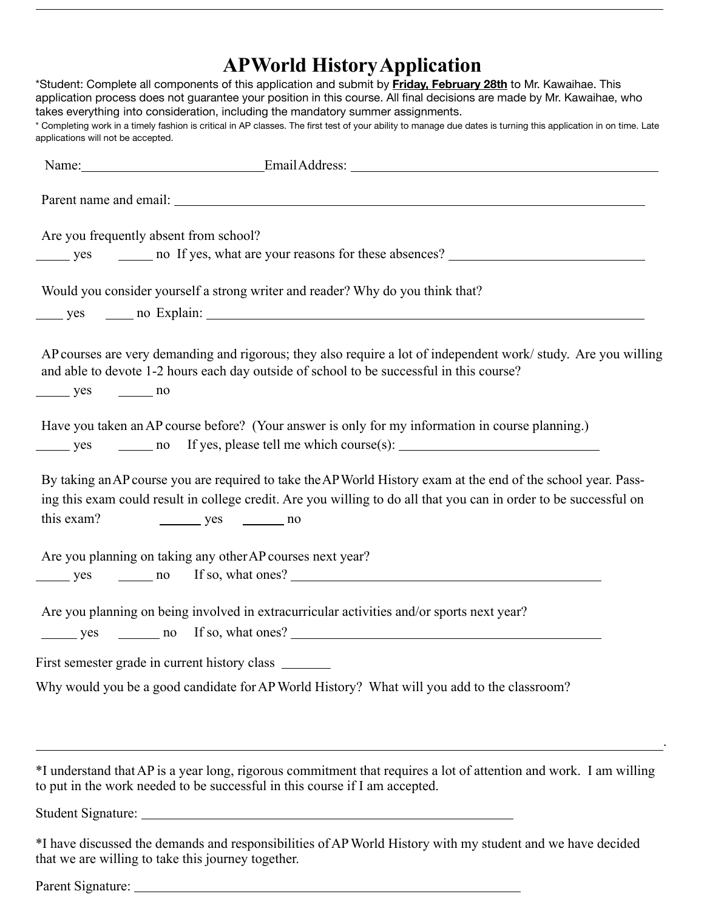# **APWorld HistoryApplication**

| applications will not be accepted.     | $\frac{1}{2}$ $\frac{1}{2}$ $\frac{1}{2}$ $\frac{1}{2}$ $\frac{1}{2}$ $\frac{1}{2}$ $\frac{1}{2}$ $\frac{1}{2}$ $\frac{1}{2}$ $\frac{1}{2}$<br>*Student: Complete all components of this application and submit by <b>Friday, February 28th</b> to Mr. Kawaihae. This<br>application process does not guarantee your position in this course. All final decisions are made by Mr. Kawaihae, who<br>takes everything into consideration, including the mandatory summer assignments.<br>* Completing work in a timely fashion is critical in AP classes. The first test of your ability to manage due dates is turning this application in on time. Late |
|----------------------------------------|---------------------------------------------------------------------------------------------------------------------------------------------------------------------------------------------------------------------------------------------------------------------------------------------------------------------------------------------------------------------------------------------------------------------------------------------------------------------------------------------------------------------------------------------------------------------------------------------------------------------------------------------------------|
|                                        |                                                                                                                                                                                                                                                                                                                                                                                                                                                                                                                                                                                                                                                         |
|                                        |                                                                                                                                                                                                                                                                                                                                                                                                                                                                                                                                                                                                                                                         |
| Are you frequently absent from school? |                                                                                                                                                                                                                                                                                                                                                                                                                                                                                                                                                                                                                                                         |
|                                        | Would you consider yourself a strong writer and reader? Why do you think that?                                                                                                                                                                                                                                                                                                                                                                                                                                                                                                                                                                          |
| $\frac{\ }{\ }$ yes $\frac{\ }{\ }$ no | AP courses are very demanding and rigorous; they also require a lot of independent work/study. Are you willing<br>and able to devote 1-2 hours each day outside of school to be successful in this course?                                                                                                                                                                                                                                                                                                                                                                                                                                              |
|                                        | Have you taken an AP course before? (Your answer is only for my information in course planning.)                                                                                                                                                                                                                                                                                                                                                                                                                                                                                                                                                        |
| this exam?                             | By taking an AP course you are required to take the AP World History exam at the end of the school year. Pass-<br>ing this exam could result in college credit. Are you willing to do all that you can in order to be successful on<br>$yes$ no                                                                                                                                                                                                                                                                                                                                                                                                         |
|                                        | Are you planning on taking any other AP courses next year?                                                                                                                                                                                                                                                                                                                                                                                                                                                                                                                                                                                              |
|                                        | Are you planning on being involved in extracurricular activities and/or sports next year?                                                                                                                                                                                                                                                                                                                                                                                                                                                                                                                                                               |
|                                        | First semester grade in current history class _______                                                                                                                                                                                                                                                                                                                                                                                                                                                                                                                                                                                                   |
|                                        | Why would you be a good candidate for AP World History? What will you add to the classroom?                                                                                                                                                                                                                                                                                                                                                                                                                                                                                                                                                             |
|                                        | <u> 1989 - Johann Stoff, amerikansk politiker (* 1908)</u><br>*I understand that AP is a year long, rigorous commitment that requires a lot of attention and work. I am willing<br>to put in the work needed to be successful in this course if I am accepted.                                                                                                                                                                                                                                                                                                                                                                                          |
|                                        |                                                                                                                                                                                                                                                                                                                                                                                                                                                                                                                                                                                                                                                         |
|                                        | *I have discussed the demands and responsibilities of AP World History with my student and we have decided                                                                                                                                                                                                                                                                                                                                                                                                                                                                                                                                              |

Parent Signature:

that we are willing to take this journey together.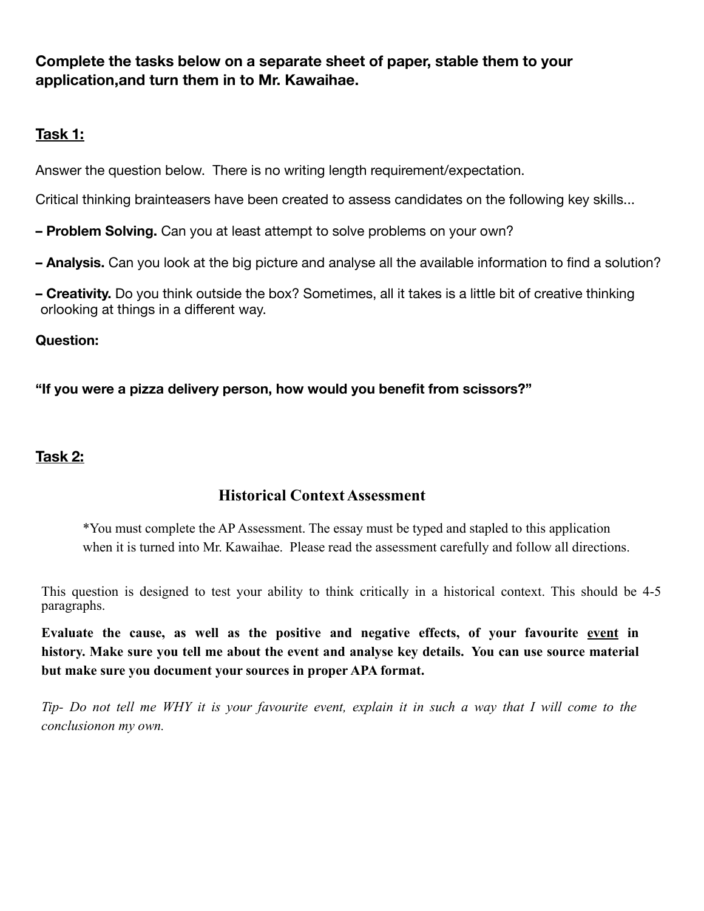**Complete the tasks below on a separate sheet of paper, stable them to your application,and turn them in to Mr. Kawaihae.** 

## **Task 1:**

Answer the question below. There is no writing length requirement/expectation.

Critical thinking brainteasers have been created to assess candidates on the following key skills...

- **– Problem Solving.** Can you at least attempt to solve problems on your own?
- **– Analysis.** Can you look at the big picture and analyse all the available information to find a solution?
- **– Creativity.** Do you think outside the box? Sometimes, all it takes is a little bit of creative thinking orlooking at things in a different way.

#### **Question:**

**"If you were a pizza delivery person, how would you benefit from scissors?"** 

#### **Task 2:**

### **Historical ContextAssessment**

\*You must complete the AP Assessment. The essay must be typed and stapled to this application when it is turned into Mr. Kawaihae. Please read the assessment carefully and follow all directions.

This question is designed to test your ability to think critically in a historical context. This should be 4-5 paragraphs.

**Evaluate the cause, as well as the positive and negative effects, of your favourite event in history. Make sure you tell me about the event and analyse key details. You can use source material but make sure you document your sources in proper APA format.**

*Tip- Do not tell me WHY it is your favourite event, explain it in such a way that I will come to the conclusionon my own.*